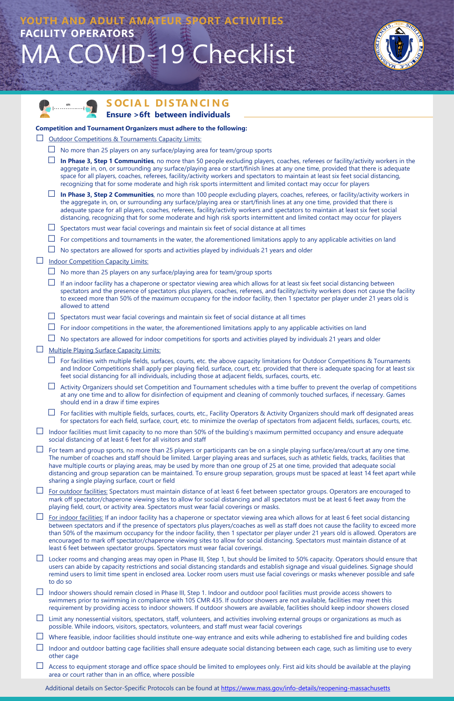| SOCIAL DISTANCING<br><b>Ensure &gt;6ft between individuals</b>                                                                                                                                                                                                                                                                                                                                                                                                                                                                                                                                     |
|----------------------------------------------------------------------------------------------------------------------------------------------------------------------------------------------------------------------------------------------------------------------------------------------------------------------------------------------------------------------------------------------------------------------------------------------------------------------------------------------------------------------------------------------------------------------------------------------------|
| <b>Competition and Tournament Organizers must adhere to the following:</b>                                                                                                                                                                                                                                                                                                                                                                                                                                                                                                                         |
| <b>Outdoor Competitions &amp; Tournaments Capacity Limits:</b>                                                                                                                                                                                                                                                                                                                                                                                                                                                                                                                                     |
| No more than 25 players on any surface/playing area for team/group sports                                                                                                                                                                                                                                                                                                                                                                                                                                                                                                                          |
| In Phase 3, Step 1 Communities, no more than 50 people excluding players, coaches, referees or facility/activity workers in the<br>aggregate in, on, or surrounding any surface/playing area or start/finish lines at any one time, provided that there is adequate<br>space for all players, coaches, referees, facility/activity workers and spectators to maintain at least six feet social distancing,<br>recognizing that for some moderate and high risk sports intermittent and limited contact may occur for players                                                                       |
| In Phase 3, Step 2 Communities, no more than 100 people excluding players, coaches, referees, or facility/activity workers in<br>the aggregate in, on, or surrounding any surface/playing area or start/finish lines at any one time, provided that there is<br>adequate space for all players, coaches, referees, facility/activity workers and spectators to maintain at least six feet social<br>distancing, recognizing that for some moderate and high risk sports intermittent and limited contact may occur for players                                                                     |
| Spectators must wear facial coverings and maintain six feet of social distance at all times                                                                                                                                                                                                                                                                                                                                                                                                                                                                                                        |
| For competitions and tournaments in the water, the aforementioned limitations apply to any applicable activities on land                                                                                                                                                                                                                                                                                                                                                                                                                                                                           |
| No spectators are allowed for sports and activities played by individuals 21 years and older                                                                                                                                                                                                                                                                                                                                                                                                                                                                                                       |
| <b>Indoor Competition Capacity Limits:</b>                                                                                                                                                                                                                                                                                                                                                                                                                                                                                                                                                         |
| No more than 25 players on any surface/playing area for team/group sports                                                                                                                                                                                                                                                                                                                                                                                                                                                                                                                          |
| If an indoor facility has a chaperone or spectator viewing area which allows for at least six feet social distancing between<br>spectators and the presence of spectators plus players, coaches, referees, and facility/activity workers does not cause the facility<br>to exceed more than 50% of the maximum occupancy for the indoor facility, then 1 spectator per player under 21 years old is<br>allowed to attend                                                                                                                                                                           |
| Spectators must wear facial coverings and maintain six feet of social distance at all times                                                                                                                                                                                                                                                                                                                                                                                                                                                                                                        |
| For indoor competitions in the water, the aforementioned limitations apply to any applicable activities on land                                                                                                                                                                                                                                                                                                                                                                                                                                                                                    |
| No spectators are allowed for indoor competitions for sports and activities played by individuals 21 years and older                                                                                                                                                                                                                                                                                                                                                                                                                                                                               |
| <b>Multiple Playing Surface Capacity Limits:</b>                                                                                                                                                                                                                                                                                                                                                                                                                                                                                                                                                   |
| For facilities with multiple fields, surfaces, courts, etc. the above capacity limitations for Outdoor Competitions & Tournaments<br>and Indoor Competitions shall apply per playing field, surface, court, etc. provided that there is adequate spacing for at least six<br>feet social distancing for all individuals, including those at adjacent fields, surfaces, courts, etc.                                                                                                                                                                                                                |
| Activity Organizers should set Competition and Tournament schedules with a time buffer to prevent the overlap of competitions<br>at any one time and to allow for disinfection of equipment and cleaning of commonly touched surfaces, if necessary. Games<br>should end in a draw if time expires                                                                                                                                                                                                                                                                                                 |
| For facilities with multiple fields, surfaces, courts, etc., Facility Operators & Activity Organizers should mark off designated areas<br>for spectators for each field, surface, court, etc. to minimize the overlap of spectators from adjacent fields, surfaces, courts, etc.                                                                                                                                                                                                                                                                                                                   |
| Indoor facilities must limit capacity to no more than 50% of the building's maximum permitted occupancy and ensure adequate<br>social distancing of at least 6 feet for all visitors and staff                                                                                                                                                                                                                                                                                                                                                                                                     |
| For team and group sports, no more than 25 players or participants can be on a single playing surface/area/court at any one time.<br>The number of coaches and staff should be limited. Larger playing areas and surfaces, such as athletic fields, tracks, facilities that<br>have multiple courts or playing areas, may be used by more than one group of 25 at one time, provided that adequate social<br>distancing and group separation can be maintained. To ensure group separation, groups must be spaced at least 14 feet apart while<br>sharing a single playing surface, court or field |
| Ear outdoor facilities: Spectators must maintain distance of at least 6 feet between spectator groups. Operators are encouraged to                                                                                                                                                                                                                                                                                                                                                                                                                                                                 |

- For indoor facilities: If an indoor facility has a chaperone or spectator viewing area which allows for at least 6 feet social distancing between spectators and if the presence of spectators plus players/coaches as well as staff does not cause the facility to exceed more than 50% of the maximum occupancy for the indoor facility, then 1 spectator per player under 21 years old is allowed. Operators are encouraged to mark off spectator/chaperone viewing sites to allow for social distancing. Spectators must maintain distance of at least 6 feet between spectator groups. Spectators must wear facial coverings.
- $\Box$  Locker rooms and changing areas may open in Phase III, Step 1, but should be limited to 50% capacity. Operators should ensure that users can abide by capacity restrictions and social distancing standards and establish signage and visual guidelines. Signage should remind users to limit time spent in enclosed area. Locker room users must use facial coverings or masks whenever possible and safe to do so
- $\Box$  Indoor showers should remain closed in Phase III, Step 1. Indoor and outdoor pool facilities must provide access showers to swimmers prior to swimming in compliance with 105 CMR 435. If outdoor showers are not available, facilities may meet this requirement by providing access to indoor showers. If outdoor showers are available, facilities should keep indoor showers closed
- $\square$  Limit any nonessential visitors, spectators, staff, volunteers, and activities involving external groups or organizations as much as possible. While indoors, visitors, spectators, volunteers, and staff must wear facial coverings
- $\Box$  Where feasible, indoor facilities should institute one-way entrance and exits while adhering to established fire and building codes
- $\Box$  Indoor and outdoor batting cage facilities shall ensure adequate social distancing between each cage, such as limiting use to every other cage
- $\Box$  Access to equipment storage and office space should be limited to employees only. First aid kits should be available at the playing area or court rather than in an office, where possible

Additional details on Sector-Specific Protocols can be found at <https://www.mass.gov/info-details/reopening-massachusetts>

□ For outdoor facilities: Spectators must maintain distance of at least 6 feet between spectator groups. Operators are encouraged to mark off spectator/chaperone viewing sites to allow for social distancing and all spectators must be at least 6 feet away from the playing field, court, or activity area. Spectators must wear facial coverings or masks.

# MA COVID-19 Checklist **YOUTH AND ADULT AMATEUR SPORT ACTIVITIES FACILITY OPERATORS**